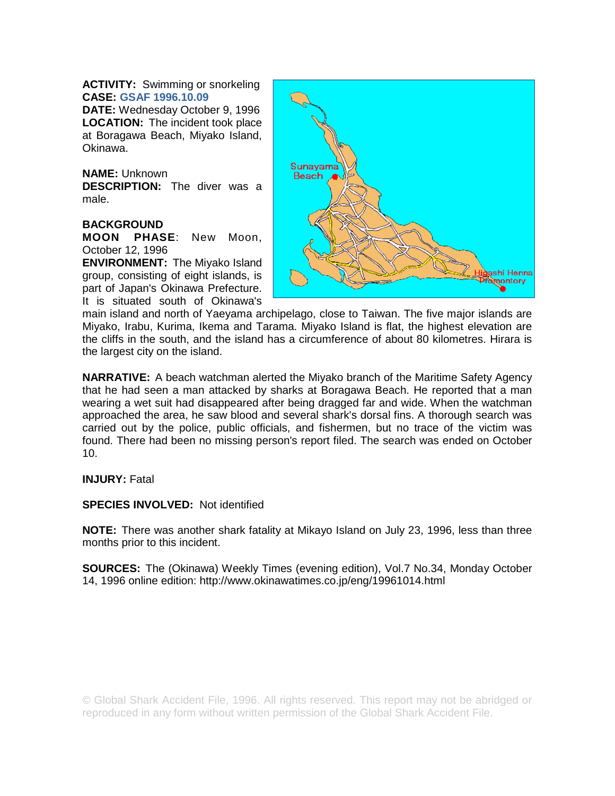**ACTIVITY:** Swimming or snorkeling **CASE: GSAF 1996.10.09**

**DATE:** Wednesday October 9, 1996 **LOCATION:** The incident took place at Boragawa Beach, Miyako Island, Okinawa.

**NAME:** Unknown **DESCRIPTION:** The diver was a male.

## **BACKGROUND**

**MOON PHASE**: New Moon, October 12, 1996

**ENVIRONMENT:** The Miyako Island group, consisting of eight islands, is part of Japan's Okinawa Prefecture. It is situated south of Okinawa's



main island and north of Yaeyama archipelago, close to Taiwan. The five major islands are Miyako, Irabu, Kurima, Ikema and Tarama. Miyako Island is flat, the highest elevation are the cliffs in the south, and the island has a circumference of about 80 kilometres. Hirara is the largest city on the island.

**NARRATIVE:** A beach watchman alerted the Miyako branch of the Maritime Safety Agency that he had seen a man attacked by sharks at Boragawa Beach. He reported that a man wearing a wet suit had disappeared after being dragged far and wide. When the watchman approached the area, he saw blood and several shark's dorsal fins. A thorough search was carried out by the police, public officials, and fishermen, but no trace of the victim was found. There had been no missing person's report filed. The search was ended on October 10.

**INJURY:** Fatal

**SPECIES INVOLVED:** Not identified

**NOTE:** There was another shark fatality at Mikayo Island on July 23, 1996, less than three months prior to this incident.

**SOURCES:** The (Okinawa) Weekly Times (evening edition), Vol.7 No.34, Monday October 14, 1996 online edition: http://www.okinawatimes.co.jp/eng/19961014.html

© Global Shark Accident File, 1996. All rights reserved. This report may not be abridged or reproduced in any form without written permission of the Global Shark Accident File.